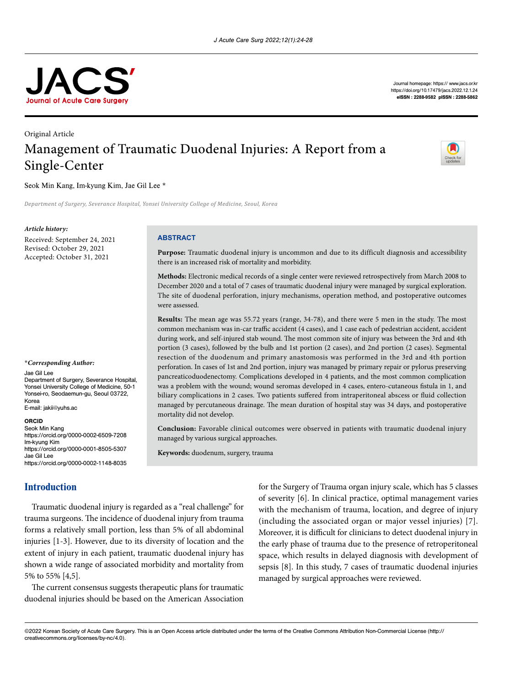

Journal homepage: [https:// www.jacs.or.kr](https:// www.jacs.or.kr  )  [https://doi.org/10.17479/jacs.202](https://doi.org/10.17479/jacs.2021.11.3.89
)2.12.1.24 eISSN : 2288-9582 pISSN : 2288-5862

# Original Article Management of Traumatic Duodenal Injuries: A Report from a Single-Center



### Seok Min Kang, Im-kyung Kim, Jae Gil Lee \*

*Department of Surgery, Severance Hospital, Yonsei University College of Medicine, Seoul, Korea* 

#### *Article history:*

Received: September 24, 2021 Revised: October 29, 2021 Accepted: October 31, 2021

#### \**Corresponding Author:*

Jae Gil Lee Department of Surgery, Severance Hospital,

Yonsei University College of Medicine, 50-1 Yonsei-ro, Seodaemun-gu, Seoul 03722, Korea E-mail: [jakii@yuhs.ac](mailto:jakii@yuhs.ac)

#### ORCID

Seok Min Kang <https://orcid.org/0000-0002-6509-7208> Im-kyung Kim <https://orcid.org/0000-0001-8505-5307> Jae Gil Lee <https://orcid.org/0000-0002-1148-8035>

# Introduction

Traumatic duodenal injury is regarded as a "real challenge" for trauma surgeons. The incidence of duodenal injury from trauma forms a relatively small portion, less than 5% of all abdominal injuries [1-3]. However, due to its diversity of location and the extent of injury in each patient, traumatic duodenal injury has shown a wide range of associated morbidity and mortality from 5% to 55% [4,5].

The current consensus suggests therapeutic plans for traumatic duodenal injuries should be based on the American Association

for the Surgery of Trauma organ injury scale, which has 5 classes of severity [6]. In clinical practice, optimal management varies with the mechanism of trauma, location, and degree of injury (including the associated organ or major vessel injuries) [7]. Moreover, it is difficult for clinicians to detect duodenal injury in the early phase of trauma due to the presence of retroperitoneal space, which results in delayed diagnosis with development of sepsis [8]. In this study, 7 cases of traumatic duodenal injuries managed by surgical approaches were reviewed.

©2022 Korean Society of Acute Care Surgery. This is an Open Access article distributed under the terms of the Creative Commons Attribution Non-Commercial License (http:// creativecommons.org/licenses/by-nc/4.0).

#### **ABSTRACT**

**Purpose:** Traumatic duodenal injury is uncommon and due to its difficult diagnosis and accessibility there is an increased risk of mortality and morbidity.

**Methods:** Electronic medical records of a single center were reviewed retrospectively from March 2008 to December 2020 and a total of 7 cases of traumatic duodenal injury were managed by surgical exploration. The site of duodenal perforation, injury mechanisms, operation method, and postoperative outcomes were assessed.

**Results:** The mean age was 55.72 years (range, 34-78), and there were 5 men in the study. The most common mechanism was in-car traffic accident (4 cases), and 1 case each of pedestrian accident, accident during work, and self-injured stab wound. The most common site of injury was between the 3rd and 4th portion (3 cases), followed by the bulb and 1st portion (2 cases), and 2nd portion (2 cases). Segmental resection of the duodenum and primary anastomosis was performed in the 3rd and 4th portion perforation. In cases of 1st and 2nd portion, injury was managed by primary repair or pylorus preserving pancreaticoduodenectomy. Complications developed in 4 patients, and the most common complication was a problem with the wound; wound seromas developed in 4 cases, entero-cutaneous fistula in 1, and biliary complications in 2 cases. Two patients suffered from intraperitoneal abscess or fluid collection managed by percutaneous drainage. The mean duration of hospital stay was 34 days, and postoperative mortality did not develop.

**Conclusion:** Favorable clinical outcomes were observed in patients with traumatic duodenal injury managed by various surgical approaches.

**Keywords:** duodenum, surgery, trauma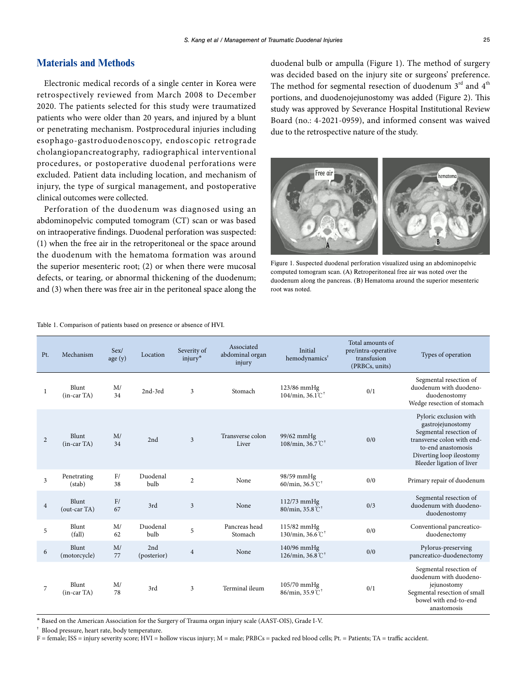# Materials and Methods

Electronic medical records of a single center in Korea were retrospectively reviewed from March 2008 to December 2020. The patients selected for this study were traumatized patients who were older than 20 years, and injured by a blunt or penetrating mechanism. Postprocedural injuries including esophago-gastroduodenoscopy, endoscopic retrograde cholangiopancreatography, radiographical interventional procedures, or postoperative duodenal perforations were excluded. Patient data including location, and mechanism of injury, the type of surgical management, and postoperative clinical outcomes were collected.

Perforation of the duodenum was diagnosed using an abdominopelvic computed tomogram (CT) scan or was based on intraoperative findings. Duodenal perforation was suspected: (1) when the free air in the retroperitoneal or the space around the duodenum with the hematoma formation was around the superior mesenteric root; (2) or when there were mucosal defects, or tearing, or abnormal thickening of the duodenum; and (3) when there was free air in the peritoneal space along the

duodenal bulb or ampulla (Figure 1). The method of surgery was decided based on the injury site or surgeons' preference. The method for segmental resection of duodenum  $3<sup>rd</sup>$  and  $4<sup>th</sup>$ portions, and duodenojejunostomy was added (Figure 2). This study was approved by Severance Hospital Institutional Review Board (no.: 4-2021-0959), and informed consent was waived due to the retrospective nature of the study.

Figure 1. Suspected duodenal perforation visualized using an abdominopelvic computed tomogram scan. (A) Retroperitoneal free air was noted over the duodenum along the pancreas. (B) Hematoma around the superior mesenteric root was noted.

Total amounts of

| Pt.            | Mechanism              | Sex/<br>age(y) | Location           | Severity of<br>injury <sup>*</sup> | abdominal organ<br>injury | Initial<br>hemodynamics <sup>1</sup>                   | pre/intra-operative<br>transfusion<br>(PRBCs, units) | Types of operation                                                                                                                                                                 |
|----------------|------------------------|----------------|--------------------|------------------------------------|---------------------------|--------------------------------------------------------|------------------------------------------------------|------------------------------------------------------------------------------------------------------------------------------------------------------------------------------------|
| 1              | Blunt<br>$(in-car TA)$ | M/<br>34       | $2nd-3rd$          | 3                                  | Stomach                   | $123/86$ mmHg<br>$104/min, 36.1^{\circ}$               | 0/1                                                  | Segmental resection of<br>duodenum with duodeno-<br>duodenostomy<br>Wedge resection of stomach                                                                                     |
| 2              | Blunt<br>$(in-car TA)$ | M/<br>34       | 2nd                | 3                                  | Transverse colon<br>Liver | $99/62$ mmHg<br>108/min, 36.7 $\degree$ C <sup>+</sup> | 0/0                                                  | Pyloric exclusion with<br>gastrojejunostomy<br>Segmental resection of<br>transverse colon with end-<br>to-end anastomosis<br>Diverting loop ileostomy<br>Bleeder ligation of liver |
| 3              | Penetrating<br>(stat)  | F/<br>38       | Duodenal<br>bulb   | $\overline{2}$                     | None                      | 98/59 mmHg<br>60/min, $36.5^{\circ}$ $\textdegree$     | 0/0                                                  | Primary repair of duodenum                                                                                                                                                         |
| $\overline{4}$ | Blunt<br>(out-car TA)  | F/<br>67       | 3rd                | 3                                  | None                      | $112/73$ mmHg<br>80/min, 35.8 °C                       | 0/3                                                  | Segmental resection of<br>duodenum with duodeno-<br>duodenostomy                                                                                                                   |
| 5              | Blunt<br>(fall)        | M/<br>62       | Duodenal<br>bulb   | 5                                  | Pancreas head<br>Stomach  | 115/82 mmHg<br>130/min, 36.6 $°C^{\dagger}$            | 0/0                                                  | Conventional pancreatico-<br>duodenectomy                                                                                                                                          |
| 6              | Blunt<br>(motorcycle)  | M/<br>77       | 2nd<br>(posterior) | $\overline{4}$                     | None                      | 140/96 mmHg<br>126/min, 36.8 $°C^{\dagger}$            | 0/0                                                  | Pylorus-preserving<br>pancreatico-duodenectomy                                                                                                                                     |
| 7              | Blunt<br>$(in-car TA)$ | M/<br>78       | 3rd                | 3                                  | Terminal ileum            | $105/70$ mmHg<br>86/min, 35.9 $°C^{\dagger}$           | 0/1                                                  | Segmental resection of<br>duodenum with duodeno-<br>jejunostomy<br>Segmental resection of small<br>bowel with end-to-end<br>anastomosis                                            |

Associated

\* Based on the American Association for the Surgery of Trauma organ injury scale (AAST-OIS), Grade I-V.

† Blood pressure, heart rate, body temperature.

F = female; ISS = injury severity score; HVI = hollow viscus injury; M = male; PRBCs = packed red blood cells; Pt. = Patients; TA = traffic accident.

Table 1. Comparison of patients based on presence or absence of HVI.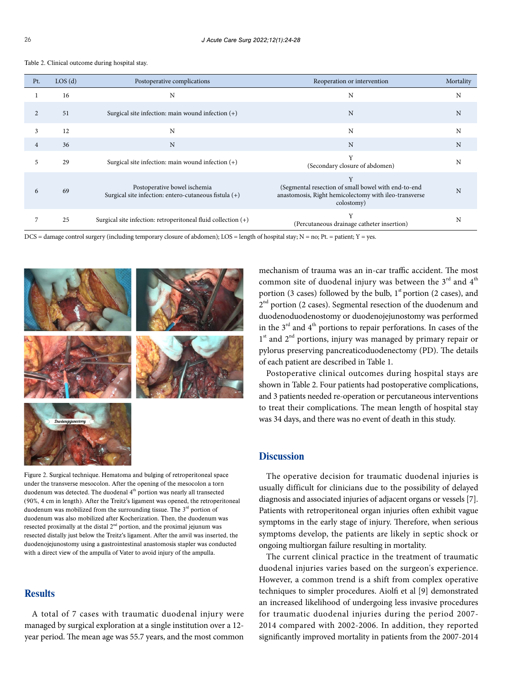| Table 2. Clinical outcome during hospital stay. |  |  |  |
|-------------------------------------------------|--|--|--|
|-------------------------------------------------|--|--|--|

| Pt.            | LOS(d) | Postoperative complications                                                           | Reoperation or intervention                                                                                                     | Mortality |
|----------------|--------|---------------------------------------------------------------------------------------|---------------------------------------------------------------------------------------------------------------------------------|-----------|
| 1              | 16     | N                                                                                     | N                                                                                                                               | N         |
| 2              | 51     | Surgical site infection: main wound infection $(+)$                                   | N                                                                                                                               | N         |
| 3              | 12     | N                                                                                     | N                                                                                                                               | N         |
| $\overline{4}$ | 36     | N                                                                                     | N                                                                                                                               | N         |
| 5.             | 29     | Surgical site infection: main wound infection $(+)$                                   | Y<br>(Secondary closure of abdomen)                                                                                             | N         |
| 6              | 69     | Postoperative bowel ischemia<br>Surgical site infection: entero-cutaneous fistula (+) | Y<br>(Segmental resection of small bowel with end-to-end<br>anastomosis, Right hemicolectomy with ileo-transverse<br>colostomy) | N         |
|                | 25     | Surgical site infection: retroperitoneal fluid collection (+)                         | Y<br>(Percutaneous drainage catheter insertion)                                                                                 | N         |

DCS = damage control surgery (including temporary closure of abdomen); LOS = length of hospital stay; N = no; Pt. = patient; Y = yes.



Figure 2. Surgical technique. Hematoma and bulging of retroperitoneal space under the transverse mesocolon. After the opening of the mesocolon a torn duodenum was detected. The duodenal 4<sup>th</sup> portion was nearly all transected (90%, 4 cm in length). After the Treitz's ligament was opened, the retroperitoneal duodenum was mobilized from the surrounding tissue. The  $3<sup>rd</sup>$  portion of duodenum was also mobilized after Kocherization. Then, the duodenum was resected proximally at the distal  $2<sup>nd</sup>$  portion, and the proximal jejunum was resected distally just below the Treitz's ligament. After the anvil was inserted, the duodenojejunostomy using a gastrointestinal anastomosis stapler was conducted with a direct view of the ampulla of Vater to avoid injury of the ampulla.

# **Results**

A total of 7 cases with traumatic duodenal injury were managed by surgical exploration at a single institution over a 12 year period. The mean age was 55.7 years, and the most common

mechanism of trauma was an in-car traffic accident. The most common site of duodenal injury was between the  $3<sup>rd</sup>$  and  $4<sup>th</sup>$ portion (3 cases) followed by the bulb,  $1<sup>st</sup>$  portion (2 cases), and  $2<sup>nd</sup>$  portion (2 cases). Segmental resection of the duodenum and duodenoduodenostomy or duodenojejunostomy was performed in the  $3<sup>rd</sup>$  and  $4<sup>th</sup>$  portions to repair perforations. In cases of the 1<sup>st</sup> and 2<sup>nd</sup> portions, injury was managed by primary repair or pylorus preserving pancreaticoduodenectomy (PD). The details of each patient are described in Table 1.

Postoperative clinical outcomes during hospital stays are shown in Table 2. Four patients had postoperative complications, and 3 patients needed re-operation or percutaneous interventions to treat their complications. The mean length of hospital stay was 34 days, and there was no event of death in this study.

# **Discussion**

The operative decision for traumatic duodenal injuries is usually difficult for clinicians due to the possibility of delayed diagnosis and associated injuries of adjacent organs or vessels [7]. Patients with retroperitoneal organ injuries often exhibit vague symptoms in the early stage of injury. Therefore, when serious symptoms develop, the patients are likely in septic shock or ongoing multiorgan failure resulting in mortality.

The current clinical practice in the treatment of traumatic duodenal injuries varies based on the surgeon's experience. However, a common trend is a shift from complex operative techniques to simpler procedures. Aiolfi et al [9] demonstrated an increased likelihood of undergoing less invasive procedures for traumatic duodenal injuries during the period 2007- 2014 compared with 2002-2006. In addition, they reported significantly improved mortality in patients from the 2007-2014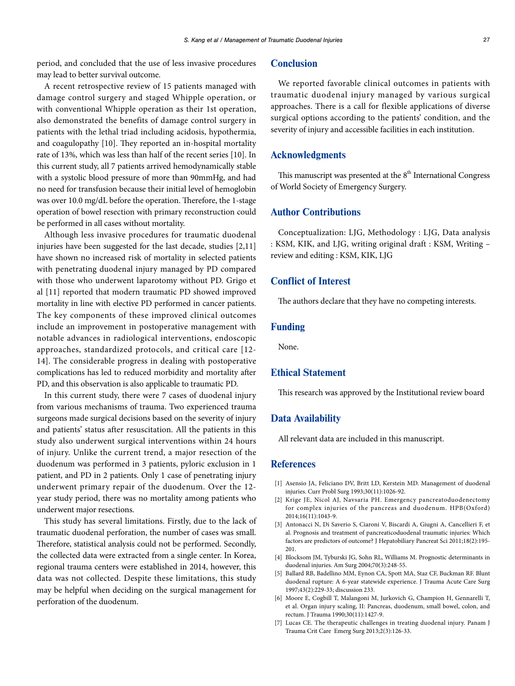period, and concluded that the use of less invasive procedures may lead to better survival outcome.

A recent retrospective review of 15 patients managed with damage control surgery and staged Whipple operation, or with conventional Whipple operation as their 1st operation, also demonstrated the benefits of damage control surgery in patients with the lethal triad including acidosis, hypothermia, and coagulopathy [10]. They reported an in-hospital mortality rate of 13%, which was less than half of the recent series [10]. In this current study, all 7 patients arrived hemodynamically stable with a systolic blood pressure of more than 90mmHg, and had no need for transfusion because their initial level of hemoglobin was over 10.0 mg/dL before the operation. Therefore, the 1-stage operation of bowel resection with primary reconstruction could be performed in all cases without mortality.

Although less invasive procedures for traumatic duodenal injuries have been suggested for the last decade, studies [2,11] have shown no increased risk of mortality in selected patients with penetrating duodenal injury managed by PD compared with those who underwent laparotomy without PD. Grigo et al [11] reported that modern traumatic PD showed improved mortality in line with elective PD performed in cancer patients. The key components of these improved clinical outcomes include an improvement in postoperative management with notable advances in radiological interventions, endoscopic approaches, standardized protocols, and critical care [12- 14]. The considerable progress in dealing with postoperative complications has led to reduced morbidity and mortality after PD, and this observation is also applicable to traumatic PD.

In this current study, there were 7 cases of duodenal injury from various mechanisms of trauma. Two experienced trauma surgeons made surgical decisions based on the severity of injury and patients' status after resuscitation. All the patients in this study also underwent surgical interventions within 24 hours of injury. Unlike the current trend, a major resection of the duodenum was performed in 3 patients, pyloric exclusion in 1 patient, and PD in 2 patients. Only 1 case of penetrating injury underwent primary repair of the duodenum. Over the 12 year study period, there was no mortality among patients who underwent major resections.

This study has several limitations. Firstly, due to the lack of traumatic duodenal perforation, the number of cases was small. Therefore, statistical analysis could not be performed. Secondly, the collected data were extracted from a single center. In Korea, regional trauma centers were established in 2014, however, this data was not collected. Despite these limitations, this study may be helpful when deciding on the surgical management for perforation of the duodenum.

# **Conclusion**

We reported favorable clinical outcomes in patients with traumatic duodenal injury managed by various surgical approaches. There is a call for flexible applications of diverse surgical options according to the patients' condition, and the severity of injury and accessible facilities in each institution.

### Acknowledgments

This manuscript was presented at the  $8<sup>th</sup>$  International Congress of World Society of Emergency Surgery.

### Author Contributions

Conceptualization: LJG, Methodology : LJG, Data analysis : KSM, KIK, and LJG, writing original draft : KSM, Writing – review and editing : KSM, KIK, LJG

### Conflict of Interest

The authors declare that they have no competing interests.

## Funding

None.

## Ethical Statement

This research was approved by the Institutional review board

# Data Availability

All relevant data are included in this manuscript.

# **References**

- [1] Asensio JA, Feliciano DV, Britt LD, Kerstein MD. Management of duodenal injuries. Curr Probl Surg 1993;30(11):1026-92.
- [2] Krige JE, Nicol AJ, Navsaria PH. Emergency pancreatoduodenectomy for complex injuries of the pancreas and duodenum. HPB(Oxford) 2014;16(11):1043-9.
- [3] Antonacci N, Di Saverio S, Ciaroni V, Biscardi A, Giugni A, Cancellieri F, et al. Prognosis and treatment of pancreaticoduodenal traumatic injuries: Which factors are predictors of outcome? J Hepatobiliary Pancreat Sci 2011;18(2):195- 201.
- [4] Blocksom JM, Tyburski JG, Sohn RL, Williams M. Prognostic determinants in duodenal injuries. Am Surg 2004;70(3):248-55.
- [5] Ballard RB, Badellino MM, Eynon CA, Spott MA, Staz CF, Buckman RF. Blunt duodenal rupture: A 6-year statewide experience. J Trauma Acute Care Surg 1997;43(2):229-33; discussion 233.
- [6] Moore E, Cogbill T, Malangoni M, Jurkovich G, Champion H, Gennarelli T, et al. Organ injury scaling, II: Pancreas, duodenum, small bowel, colon, and rectum. J Trauma 1990;30(11):1427-9.
- [7] Lucas CE. The therapeutic challenges in treating duodenal injury. Panam J Trauma Crit Care Emerg Surg 2013;2(3):126-33.